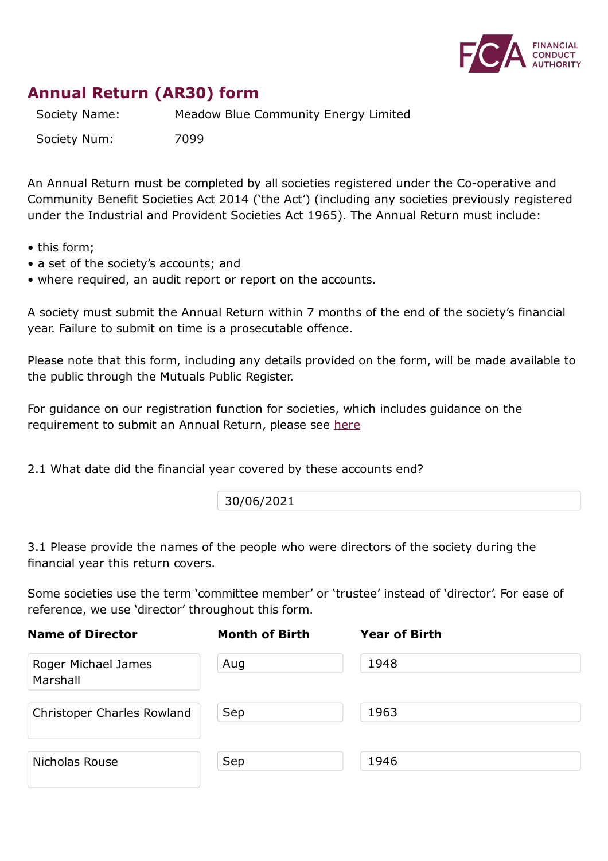

## **Annual Return (AR30) form**

Society Name: Meadow Blue Community Energy Limited

Society Num: 7099

An Annual Return must be completed by all societies registered under the Co-operative and Community Benefit Societies Act 2014 ('the Act') (including any societies previously registered under the Industrial and Provident Societies Act 1965). The Annual Return must include:

- this form;
- a set of the society's accounts; and
- where required, an audit report or report on the accounts.

A society must submit the Annual Return within 7 months of the end of the society's financial year. Failure to submit on time is a prosecutable offence.

Please note that this form, including any details provided on the form, will be made available to the public through the Mutuals Public Register.

For guidance on our registration function for societies, which includes guidance on the requirement to submit an Annual Return, please see here

2.1 What date did the financial year covered by these [acco](https://www.fca.org.uk/publication/finalised-guidance/fg15-12.pdf)unts end?

30/06/2021

3.1 Please provide the names of the people who were directors of the society during the financial year this return covers.

Some societies use the term 'committee member' or 'trustee' instead of 'director'. For ease of reference, we use 'director' throughout this form.

| <b>Name of Director</b>         | <b>Month of Birth</b> | <b>Year of Birth</b> |
|---------------------------------|-----------------------|----------------------|
| Roger Michael James<br>Marshall | Aug                   | 1948                 |
| Christoper Charles Rowland      | Sep                   | 1963                 |
| Nicholas Rouse                  | Sep                   | 1946                 |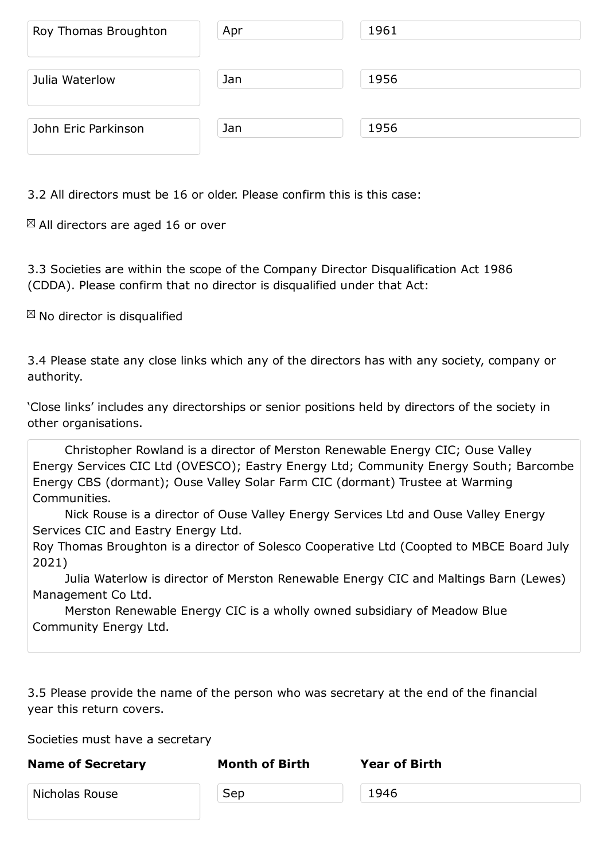| Julia Waterlow      | Jan | 1956 |  |
|---------------------|-----|------|--|
|                     |     |      |  |
| John Eric Parkinson | Jan | 1956 |  |

3.2 All directors must be 16 or older. Please confirm this is this case:

 $\boxtimes$  All directors are aged 16 or over

3.3 Societies are within the scope of the Company Director Disqualification Act 1986 (CDDA). Please confirm that no director is disqualified under that Act:

 $\boxtimes$  No director is disqualified

3.4 Please state any close links which any of the directors has with any society, company or authority.

'Close links' includes any directorships or senior positions held by directors of the society in other organisations.

Christopher Rowland is a director of Merston Renewable Energy CIC; Ouse Valley Energy Services CIC Ltd (OVESCO); Eastry Energy Ltd; Community Energy South; Barcombe Energy CBS (dormant); Ouse Valley Solar Farm CIC (dormant) Trustee at Warming Communities.

Nick Rouse is a director of Ouse Valley Energy Services Ltd and Ouse Valley Energy Services CIC and Eastry Energy Ltd.

Roy Thomas Broughton is a director of Solesco Cooperative Ltd (Coopted to MBCE Board July 2021)

Julia Waterlow is director of Merston Renewable Energy CIC and Maltings Barn (Lewes) Management Co Ltd.

Merston Renewable Energy CIC is a wholly owned subsidiary of Meadow Blue Community Energy Ltd.

3.5 Please provide the name of the person who was secretary at the end of the financial year this return covers.

Societies must have a secretary

| <b>Name of Secretary</b> | <b>Month of Birth</b> | <b>Year of Birth</b> |  |
|--------------------------|-----------------------|----------------------|--|
| Nicholas Rouse           | Sep                   | 1946                 |  |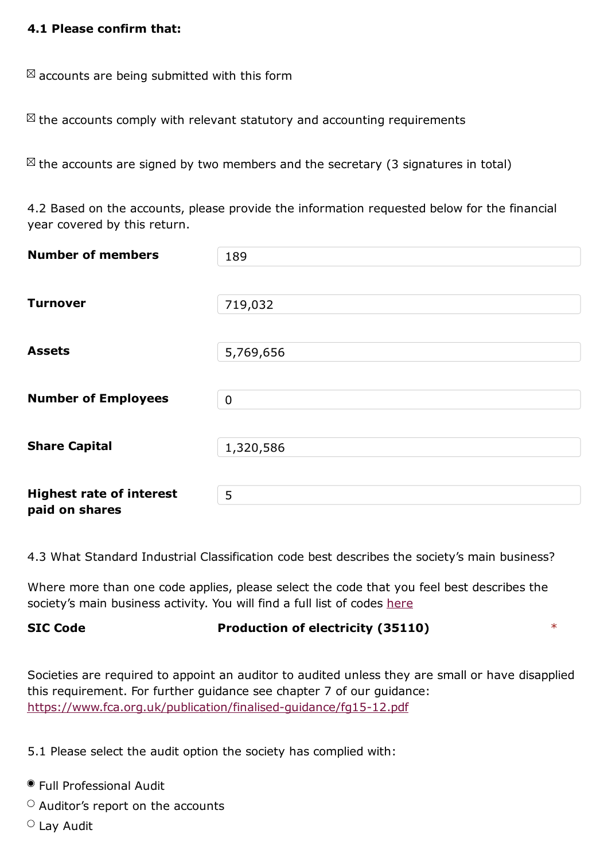$\boxtimes$  accounts are being submitted with this form

 $\mathbb{Z}$  the accounts comply with relevant statutory and accounting requirements

 $\boxtimes$  the accounts are signed by two members and the secretary (3 signatures in total)

4.2 Based on the accounts, please provide the information requested below for the financial year covered by this return.

| <b>Number of members</b>        | 189         |
|---------------------------------|-------------|
|                                 |             |
| <b>Turnover</b>                 | 719,032     |
|                                 |             |
| <b>Assets</b>                   | 5,769,656   |
|                                 |             |
|                                 |             |
| <b>Number of Employees</b>      | $\mathbf 0$ |
|                                 |             |
| <b>Share Capital</b>            | 1,320,586   |
|                                 |             |
| <b>Highest rate of interest</b> | 5           |
| paid on shares                  |             |

4.3 What Standard Industrial Classification code best describes the society's main business?

Where more than one code applies, please select the code that you feel best describes the society's main business activity. You will find a full list of codes here

## **SIC Code Production of electricity (35110)** \*

Societies are required to appoint an auditor to audited unless they are small or have disapplied this requirement. For further guidance see chapter 7 of our guidance: https://www.fca.org.uk/publication/finalised-guidance/fg15-12.pdf

5.1 Please select the audit option the society has [complied](https://www.fca.org.uk/publication/finalised-guidance/fg15-12.pdf) with:

- Full Professional Audit
- $\circ$  Auditor's report on the accounts
- Lay Audit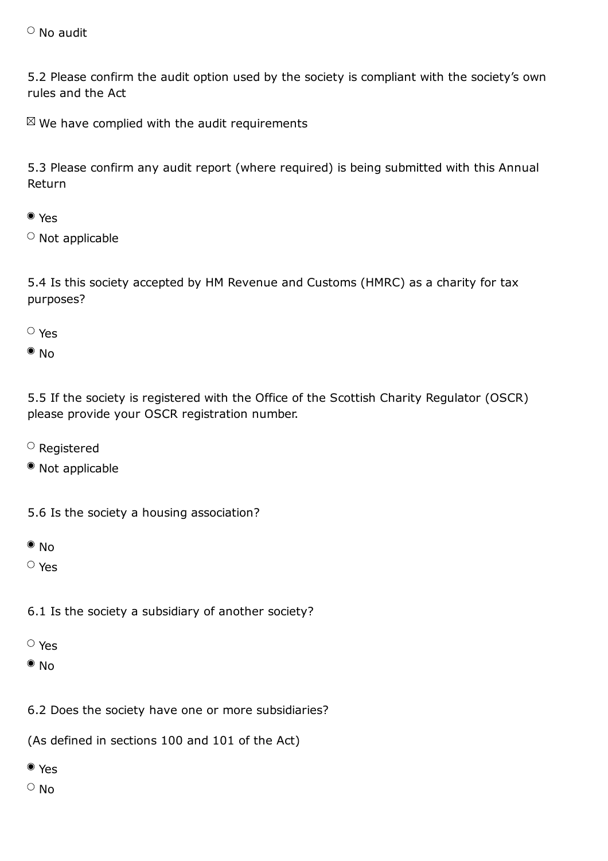5.2 Please confirm the audit option used by the society is compliant with the society's own rules and the Act

 $\mathbb{Z}$  We have complied with the audit requirements

5.3 Please confirm any audit report (where required) is being submitted with this Annual Return

## Yes

 $\circ$  Not applicable

5.4 Is this society accepted by HM Revenue and Customs (HMRC) as a charity for tax purposes?

Yes

 $\bullet$  No

5.5 If the society is registered with the Office of the Scottish Charity Regulator (OSCR) please provide your OSCR registration number.

- $\circ$  Registered
- Not applicable

5.6 Is the society a housing association?

 $\bullet$  No

Yes

6.1 Is the society a subsidiary of another society?

- Yes
- $\bullet$  No

6.2 Does the society have one or more subsidiaries?

(As defined in sections 100 and 101 of the Act)

- Yes
- $\circ$  No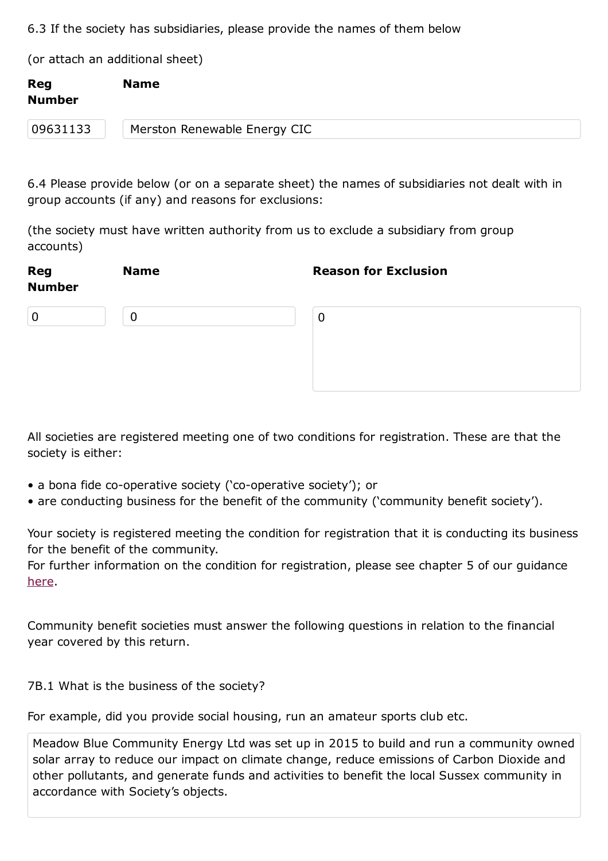(or attach an additional sheet)

| <b>Reg</b><br><b>Number</b> | <b>Name</b>                  |
|-----------------------------|------------------------------|
| 09631133                    | Merston Renewable Energy CIC |

6.4 Please provide below (or on a separate sheet) the names of subsidiaries not dealt with in group accounts (if any) and reasons for exclusions:

(the society must have written authority from us to exclude a subsidiary from group accounts)

| Reg<br><b>Number</b> | <b>Name</b> | <b>Reason for Exclusion</b> |
|----------------------|-------------|-----------------------------|
| $\mathbf 0$          | 0           | $\overline{0}$              |
|                      |             |                             |

All societies are registered meeting one of two conditions for registration. These are that the society is either:

- a bona fide co-operative society ('co-operative society'); or
- are conducting business for the benefit of the community ('community benefit society').

Your society is registered meeting the condition for registration that it is conducting its business for the benefit of the community.

For further information on the condition for registration, please see chapter 5 of our guidance here.

[Comm](https://www.fca.org.uk/publication/finalised-guidance/fg15-12.pdf)unity benefit societies must answer the following questions in relation to the financial year covered by this return.

7B.1 What is the business of the society?

For example, did you provide social housing, run an amateur sports club etc.

Meadow Blue Community Energy Ltd was set up in 2015 to build and run a community owned solar array to reduce our impact on climate change, reduce emissions of Carbon Dioxide and other pollutants, and generate funds and activities to benefit the local Sussex community in accordance with Society's objects.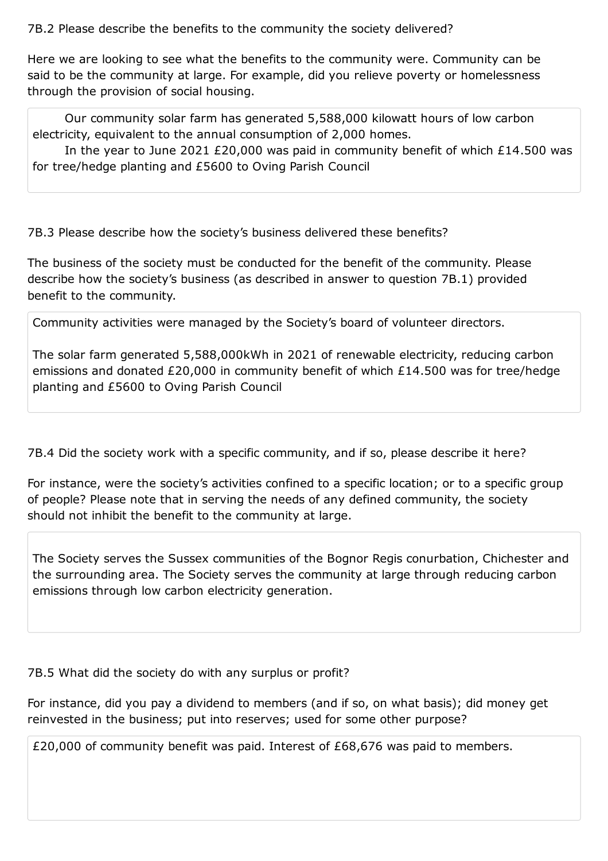Here we are looking to see what the benefits to the community were. Community can be said to be the community at large. For example, did you relieve poverty or homelessness through the provision of social housing.

Our community solar farm has generated 5,588,000 kilowatt hours of low carbon electricity, equivalent to the annual consumption of 2,000 homes.

In the year to June 2021 £20,000 was paid in community benefit of which £14.500 was for tree/hedge planting and £5600 to Oving Parish Council

7B.3 Please describe how the society's business delivered these benefits?

The business of the society must be conducted for the benefit of the community. Please describe how the society's business (as described in answer to question 7B.1) provided benefit to the community.

Community activities were managed by the Society's board of volunteer directors.

The solar farm generated 5,588,000kWh in 2021 of renewable electricity, reducing carbon emissions and donated £20,000 in community benefit of which £14.500 was for tree/hedge planting and £5600 to Oving Parish Council

7B.4 Did the society work with a specific community, and if so, please describe it here?

For instance, were the society's activities confined to a specific location; or to a specific group of people? Please note that in serving the needs of any defined community, the society should not inhibit the benefit to the community at large.

The Society serves the Sussex communities of the Bognor Regis conurbation, Chichester and the surrounding area. The Society serves the community at large through reducing carbon emissions through low carbon electricity generation.

7B.5 What did the society do with any surplus or profit?

For instance, did you pay a dividend to members (and if so, on what basis); did money get reinvested in the business; put into reserves; used for some other purpose?

£20,000 of community benefit was paid. Interest of £68,676 was paid to members.